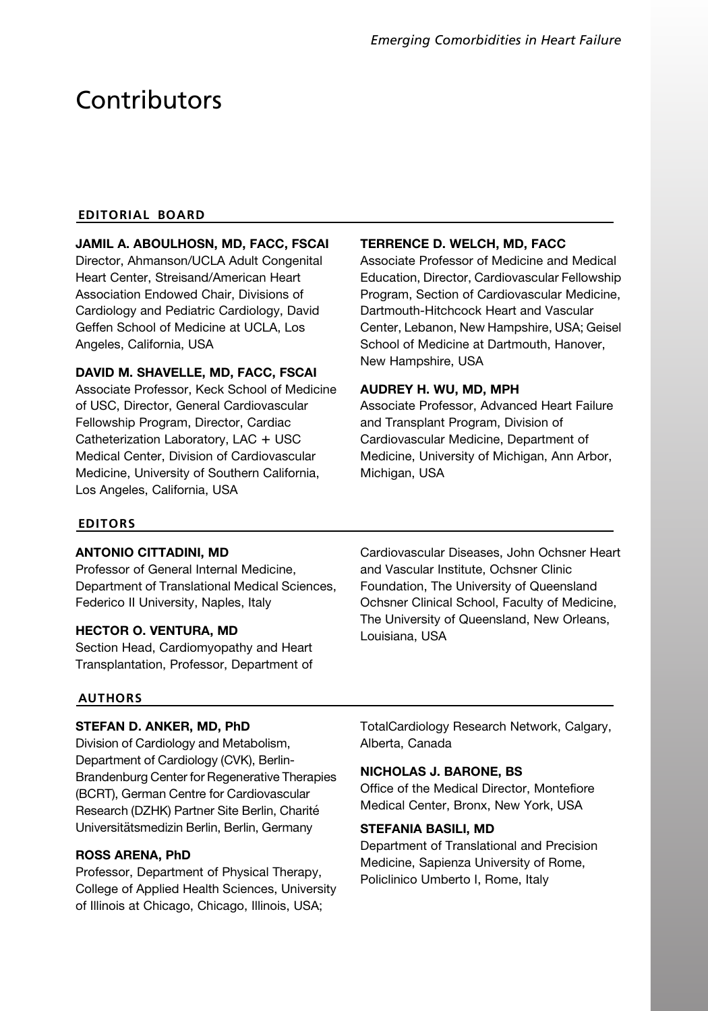# Contributors

# EDITORIAL BOARD

# JAMIL A. ABOULHOSN, MD, FACC, FSCAI

Director, Ahmanson/UCLA Adult Congenital Heart Center, Streisand/American Heart Association Endowed Chair, Divisions of Cardiology and Pediatric Cardiology, David Geffen School of Medicine at UCLA, Los Angeles, California, USA

# DAVID M. SHAVELLE, MD, FACC, FSCAI

Associate Professor, Keck School of Medicine of USC, Director, General Cardiovascular Fellowship Program, Director, Cardiac Catheterization Laboratory, LAC + USC Medical Center, Division of Cardiovascular Medicine, University of Southern California, Los Angeles, California, USA

## TERRENCE D. WELCH, MD, FACC

Associate Professor of Medicine and Medical Education, Director, Cardiovascular Fellowship Program, Section of Cardiovascular Medicine, Dartmouth-Hitchcock Heart and Vascular Center, Lebanon, New Hampshire, USA; Geisel School of Medicine at Dartmouth, Hanover, New Hampshire, USA

# AUDREY H. WU, MD, MPH

Associate Professor, Advanced Heart Failure and Transplant Program, Division of Cardiovascular Medicine, Department of Medicine, University of Michigan, Ann Arbor, Michigan, USA

# EDITORS

# ANTONIO CITTADINI, MD

Professor of General Internal Medicine, Department of Translational Medical Sciences, Federico II University, Naples, Italy

# HECTOR O. VENTURA, MD

Section Head, Cardiomyopathy and Heart Transplantation, Professor, Department of

# AUTHORS

## STEFAN D. ANKER, MD, PhD

Division of Cardiology and Metabolism, Department of Cardiology (CVK), Berlin-Brandenburg Center for Regenerative Therapies (BCRT), German Centre for Cardiovascular Research (DZHK) Partner Site Berlin, Charité Universitätsmedizin Berlin, Berlin, Germany

# ROSS ARENA, PhD

Professor, Department of Physical Therapy, College of Applied Health Sciences, University of Illinois at Chicago, Chicago, Illinois, USA;

Cardiovascular Diseases, John Ochsner Heart and Vascular Institute, Ochsner Clinic Foundation, The University of Queensland Ochsner Clinical School, Faculty of Medicine, The University of Queensland, New Orleans, Louisiana, USA

TotalCardiology Research Network, Calgary, Alberta, Canada

## NICHOLAS J. BARONE, BS

Office of the Medical Director, Montefiore Medical Center, Bronx, New York, USA

## STEFANIA BASILI, MD

Department of Translational and Precision Medicine, Sapienza University of Rome, Policlinico Umberto I, Rome, Italy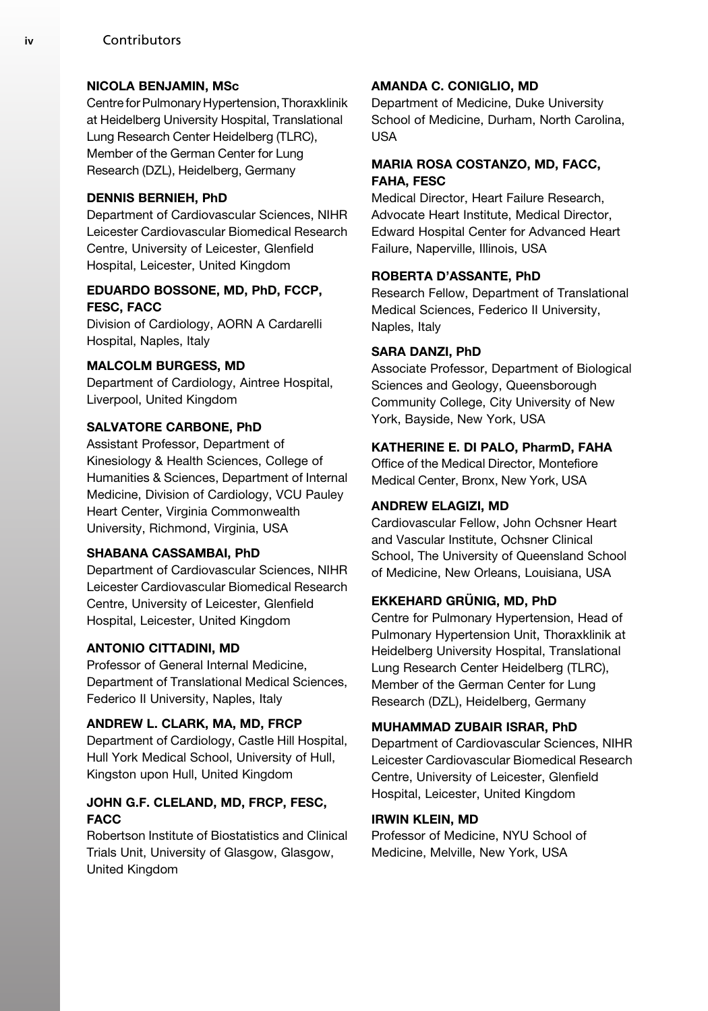## iv Contributors

#### NICOLA BENJAMIN, MSc

Centre for Pulmonary Hypertension, Thoraxklinik at Heidelberg University Hospital, Translational Lung Research Center Heidelberg (TLRC), Member of the German Center for Lung Research (DZL), Heidelberg, Germany

## DENNIS BERNIEH, PhD

Department of Cardiovascular Sciences, NIHR Leicester Cardiovascular Biomedical Research Centre, University of Leicester, Glenfield Hospital, Leicester, United Kingdom

# EDUARDO BOSSONE, MD, PhD, FCCP, FESC, FACC

Division of Cardiology, AORN A Cardarelli Hospital, Naples, Italy

## MALCOLM BURGESS, MD

Department of Cardiology, Aintree Hospital, Liverpool, United Kingdom

## SALVATORE CARBONE, PhD

Assistant Professor, Department of Kinesiology & Health Sciences, College of Humanities & Sciences, Department of Internal Medicine, Division of Cardiology, VCU Pauley Heart Center, Virginia Commonwealth University, Richmond, Virginia, USA

## SHABANA CASSAMBAI, PhD

Department of Cardiovascular Sciences, NIHR Leicester Cardiovascular Biomedical Research Centre, University of Leicester, Glenfield Hospital, Leicester, United Kingdom

## ANTONIO CITTADINI, MD

Professor of General Internal Medicine, Department of Translational Medical Sciences, Federico II University, Naples, Italy

#### ANDREW L. CLARK, MA, MD, FRCP

Department of Cardiology, Castle Hill Hospital, Hull York Medical School, University of Hull, Kingston upon Hull, United Kingdom

# JOHN G.F. CLELAND, MD, FRCP, FESC, **FACC**

Robertson Institute of Biostatistics and Clinical Trials Unit, University of Glasgow, Glasgow, United Kingdom

## AMANDA C. CONIGLIO, MD

Department of Medicine, Duke University School of Medicine, Durham, North Carolina, USA

# MARIA ROSA COSTANZO, MD, FACC, FAHA, FESC

Medical Director, Heart Failure Research, Advocate Heart Institute, Medical Director, Edward Hospital Center for Advanced Heart Failure, Naperville, Illinois, USA

## ROBERTA D'ASSANTE, PhD

Research Fellow, Department of Translational Medical Sciences, Federico II University, Naples, Italy

### SARA DANZI, PhD

Associate Professor, Department of Biological Sciences and Geology, Queensborough Community College, City University of New York, Bayside, New York, USA

# KATHERINE E. DI PALO, PharmD, FAHA

Office of the Medical Director, Montefiore Medical Center, Bronx, New York, USA

#### ANDREW ELAGIZI, MD

Cardiovascular Fellow, John Ochsner Heart and Vascular Institute, Ochsner Clinical School, The University of Queensland School of Medicine, New Orleans, Louisiana, USA

## EKKEHARD GRÜNIG, MD, PhD

Centre for Pulmonary Hypertension, Head of Pulmonary Hypertension Unit, Thoraxklinik at Heidelberg University Hospital, Translational Lung Research Center Heidelberg (TLRC), Member of the German Center for Lung Research (DZL), Heidelberg, Germany

#### MUHAMMAD ZUBAIR ISRAR, PhD

Department of Cardiovascular Sciences, NIHR Leicester Cardiovascular Biomedical Research Centre, University of Leicester, Glenfield Hospital, Leicester, United Kingdom

#### IRWIN KLEIN, MD

Professor of Medicine, NYU School of Medicine, Melville, New York, USA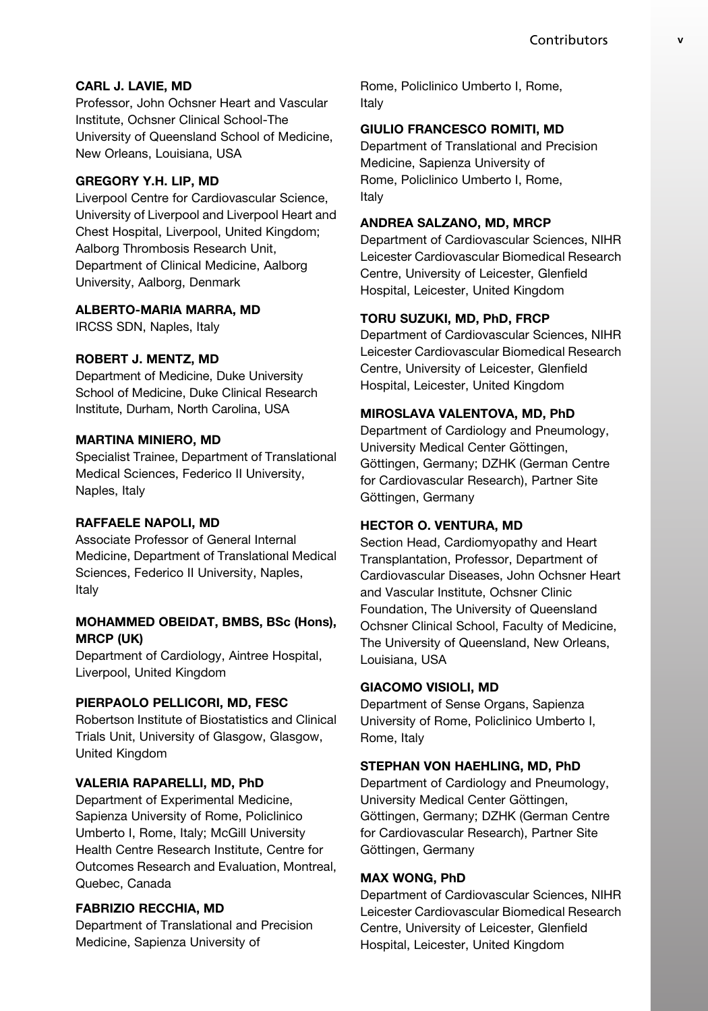# CARL J. LAVIE, MD

Professor, John Ochsner Heart and Vascular Institute, Ochsner Clinical School-The University of Queensland School of Medicine, New Orleans, Louisiana, USA

# GREGORY Y.H. LIP, MD

Liverpool Centre for Cardiovascular Science, University of Liverpool and Liverpool Heart and Chest Hospital, Liverpool, United Kingdom; Aalborg Thrombosis Research Unit, Department of Clinical Medicine, Aalborg University, Aalborg, Denmark

# ALBERTO-MARIA MARRA, MD

IRCSS SDN, Naples, Italy

# ROBERT J. MENTZ, MD

Department of Medicine, Duke University School of Medicine, Duke Clinical Research Institute, Durham, North Carolina, USA

# MARTINA MINIERO, MD

Specialist Trainee, Department of Translational Medical Sciences, Federico II University, Naples, Italy

# RAFFAELE NAPOLI, MD

Associate Professor of General Internal Medicine, Department of Translational Medical Sciences, Federico II University, Naples, Italy

# MOHAMMED OBEIDAT, BMBS, BSc (Hons), MRCP (UK)

Department of Cardiology, Aintree Hospital, Liverpool, United Kingdom

# PIERPAOLO PELLICORI, MD, FESC

Robertson Institute of Biostatistics and Clinical Trials Unit, University of Glasgow, Glasgow, United Kingdom

# VALERIA RAPARELLI, MD, PhD

Department of Experimental Medicine, Sapienza University of Rome, Policlinico Umberto I, Rome, Italy; McGill University Health Centre Research Institute, Centre for Outcomes Research and Evaluation, Montreal, Quebec, Canada

# FABRIZIO RECCHIA, MD

Department of Translational and Precision Medicine, Sapienza University of

Rome, Policlinico Umberto I, Rome, Italy

## GIULIO FRANCESCO ROMITI, MD

Department of Translational and Precision Medicine, Sapienza University of Rome, Policlinico Umberto I, Rome, Italy

## ANDREA SALZANO, MD, MRCP

Department of Cardiovascular Sciences, NIHR Leicester Cardiovascular Biomedical Research Centre, University of Leicester, Glenfield Hospital, Leicester, United Kingdom

# TORU SUZUKI, MD, PhD, FRCP

Department of Cardiovascular Sciences, NIHR Leicester Cardiovascular Biomedical Research Centre, University of Leicester, Glenfield Hospital, Leicester, United Kingdom

## MIROSLAVA VALENTOVA, MD, PhD

Department of Cardiology and Pneumology, University Medical Center Göttingen, Göttingen, Germany; DZHK (German Centre for Cardiovascular Research), Partner Site Göttingen, Germany

## HECTOR O. VENTURA, MD

Section Head, Cardiomyopathy and Heart Transplantation, Professor, Department of Cardiovascular Diseases, John Ochsner Heart and Vascular Institute, Ochsner Clinic Foundation, The University of Queensland Ochsner Clinical School, Faculty of Medicine, The University of Queensland, New Orleans, Louisiana, USA

## GIACOMO VISIOLI, MD

Department of Sense Organs, Sapienza University of Rome, Policlinico Umberto I, Rome, Italy

# STEPHAN VON HAEHLING, MD, PhD

Department of Cardiology and Pneumology, University Medical Center Göttingen, Göttingen, Germany; DZHK (German Centre for Cardiovascular Research), Partner Site Göttingen, Germany

# MAX WONG, PhD

Department of Cardiovascular Sciences, NIHR Leicester Cardiovascular Biomedical Research Centre, University of Leicester, Glenfield Hospital, Leicester, United Kingdom